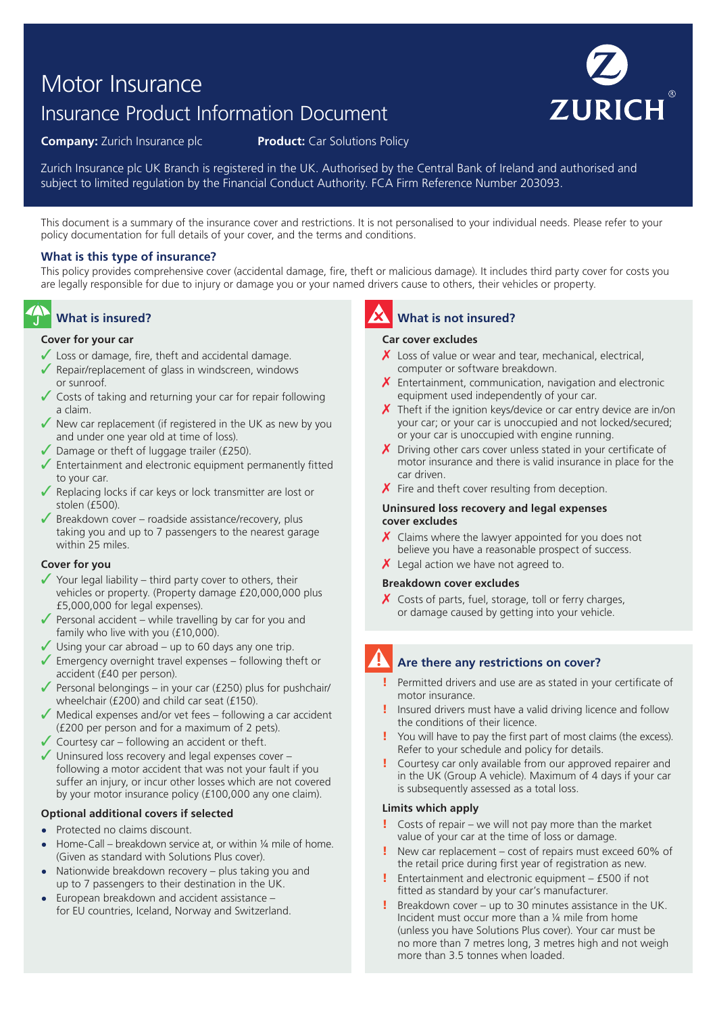# Motor Insurance

## Insurance Product Information Document



**Company:** Zurich Insurance plc **Product:** Car Solutions Policy

Zurich Insurance plc UK Branch is registered in the UK. Authorised by the Central Bank of Ireland and authorised and subject to limited regulation by the Financial Conduct Authority. FCA Firm Reference Number 203093.

This document is a summary of the insurance cover and restrictions. It is not personalised to your individual needs. Please refer to your policy documentation for full details of your cover, and the terms and conditions.

#### **What is this type of insurance?**

This policy provides comprehensive cover (accidental damage, fire, theft or malicious damage). It includes third party cover for costs you are legally responsible for due to injury or damage you or your named drivers cause to others, their vehicles or property.

### **What is insured?**

#### **Cover for your car**

- $\angle$  Loss or damage, fire, theft and accidental damage.
- $\sqrt{\ }$  Repair/replacement of glass in windscreen, windows or sunroof.
- ✓ Costs of taking and returning your car for repair following a claim.
- $\sqrt{\ }$  New car replacement (if registered in the UK as new by you and under one year old at time of loss).
- ✓ Damage or theft of luggage trailer (£250).
- ✓ Entertainment and electronic equipment permanently fitted to your car.
- ✓ Replacing locks if car keys or lock transmitter are lost or stolen (£500).
- $\sqrt{\ }$  Breakdown cover roadside assistance/recovery, plus taking you and up to 7 passengers to the nearest garage within 25 miles.

#### **Cover for you**

- $\checkmark$  Your legal liability third party cover to others, their vehicles or property. (Property damage £20,000,000 plus £5,000,000 for legal expenses).
- $\sqrt{\ }$  Personal accident while travelling by car for you and family who live with you (£10,000).
- $\checkmark$  Using your car abroad up to 60 days any one trip.
- $\sqrt{\ }$  Emergency overnight travel expenses following theft or accident (£40 per person).
- Personal belongings in your car (£250) plus for pushchair/ wheelchair (£200) and child car seat (£150).
- ✓ Medical expenses and/or vet fees following a car accident (£200 per person and for a maximum of 2 pets).
- $\checkmark$  Courtesy car following an accident or theft.
- ✓ Uninsured loss recovery and legal expenses cover following a motor accident that was not your fault if you suffer an injury, or incur other losses which are not covered by your motor insurance policy (£100,000 any one claim).

#### **Optional additional covers if selected**

- **•** Protected no claims discount.
- **•** Home-Call breakdown service at, or within ¼ mile of home. (Given as standard with Solutions Plus cover).
- **•** Nationwide breakdown recovery plus taking you and up to 7 passengers to their destination in the UK.
- **•** European breakdown and accident assistance for EU countries, Iceland, Norway and Switzerland.

## **What is not insured?**

#### **Car cover excludes**

- $\chi$  Loss of value or wear and tear, mechanical, electrical, computer or software breakdown.
- $X$  Entertainment, communication, navigation and electronic equipment used independently of your car.
- $\chi$  Theft if the ignition keys/device or car entry device are in/on your car; or your car is unoccupied and not locked/secured; or your car is unoccupied with engine running.
- $\chi$  Driving other cars cover unless stated in your certificate of motor insurance and there is valid insurance in place for the car driven.
- $\chi$  Fire and theft cover resulting from deception.

#### **Uninsured loss recovery and legal expenses cover excludes**

- $\chi$  Claims where the lawyer appointed for you does not believe you have a reasonable prospect of success.
- $\chi$  Legal action we have not agreed to.

#### **Breakdown cover excludes**

 $\chi$  Costs of parts, fuel, storage, toll or ferry charges, or damage caused by getting into your vehicle.

## **Are there any restrictions on cover?**

- ! Permitted drivers and use are as stated in your certificate of motor insurance.
- ! Insured drivers must have a valid driving licence and follow the conditions of their licence.
- You will have to pay the first part of most claims (the excess). Refer to your schedule and policy for details.
- Courtesy car only available from our approved repairer and in the UK (Group A vehicle). Maximum of 4 days if your car is subsequently assessed as a total loss.

#### **Limits which apply**

- ! Costs of repair we will not pay more than the market value of your car at the time of loss or damage.
- New car replacement cost of repairs must exceed 60% of the retail price during first year of registration as new.
- ! Entertainment and electronic equipment £500 if not fitted as standard by your car's manufacturer.
- ! Breakdown cover up to 30 minutes assistance in the UK. Incident must occur more than a ¼ mile from home (unless you have Solutions Plus cover). Your car must be no more than 7 metres long, 3 metres high and not weigh more than 3.5 tonnes when loaded.